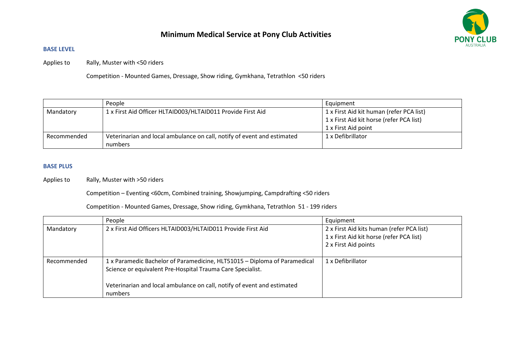# **Minimum Medical Service at Pony Club Activities**



## **BASE LEVEL**

Applies to Rally, Muster with <50 riders

Competition - Mounted Games, Dressage, Show riding, Gymkhana, Tetrathlon <50 riders

|             | People                                                                  | Equipment                                |
|-------------|-------------------------------------------------------------------------|------------------------------------------|
| Mandatory   | 1 x First Aid Officer HLTAID003/HLTAID011 Provide First Aid             | 1 x First Aid kit human (refer PCA list) |
|             |                                                                         | 1 x First Aid kit horse (refer PCA list) |
|             |                                                                         | 1 x First Aid point                      |
| Recommended | Veterinarian and local ambulance on call, notify of event and estimated | 1 x Defibrillator                        |
|             | numbers                                                                 |                                          |

#### **BASE PLUS**

Applies to Rally, Muster with >50 riders

Competition – Eventing <60cm, Combined training, Showjumping, Campdrafting <50 riders

Competition - Mounted Games, Dressage, Show riding, Gymkhana, Tetrathlon 51 - 199 riders

|             | People                                                                                                                                                                                                                        | Equipment                                                                                                     |
|-------------|-------------------------------------------------------------------------------------------------------------------------------------------------------------------------------------------------------------------------------|---------------------------------------------------------------------------------------------------------------|
| Mandatory   | 2 x First Aid Officers HLTAID003/HLTAID011 Provide First Aid                                                                                                                                                                  | 2 x First Aid kits human (refer PCA list)<br>1 x First Aid kit horse (refer PCA list)<br>2 x First Aid points |
| Recommended | 1 x Paramedic Bachelor of Paramedicine, HLT51015 - Diploma of Paramedical<br>Science or equivalent Pre-Hospital Trauma Care Specialist.<br>Veterinarian and local ambulance on call, notify of event and estimated<br>numbers | 1 x Defibrillator                                                                                             |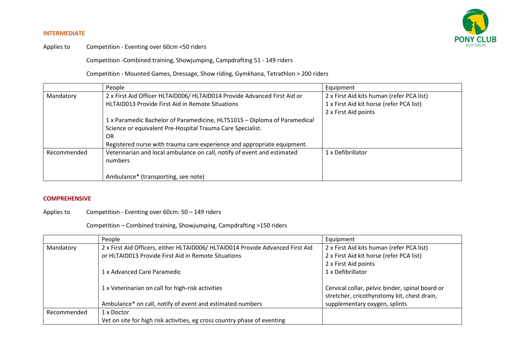#### **INTERMEDIATE**



Applies to Competition - Eventing over 60cm <50 riders

Competition -Combined training, Showjumping, Campdrafting 51 - 149 riders

Competition - Mounted Games, Dressage, Show riding, Gymkhana, Tetrathlon > 200 riders

|             | People                                                                    | Equipment                                 |
|-------------|---------------------------------------------------------------------------|-------------------------------------------|
| Mandatory   | 2 x First Aid Officer HLTAID006/ HLTAID014 Provide Advanced First Aid or  | 2 x First Aid kits human (refer PCA list) |
|             | HLTAID013 Provide First Aid in Remote Situations                          | 1 x First Aid kit horse (refer PCA list)  |
|             |                                                                           | 2 x First Aid points                      |
|             | 1 x Paramedic Bachelor of Paramedicine, HLT51015 - Diploma of Paramedical |                                           |
|             | Science or equivalent Pre-Hospital Trauma Care Specialist.                |                                           |
|             | 0R                                                                        |                                           |
|             | Registered nurse with trauma care experience and appropriate equipment.   |                                           |
| Recommended | Veterinarian and local ambulance on call, notify of event and estimated   | 1 x Defibrillator                         |
|             | numbers                                                                   |                                           |
|             |                                                                           |                                           |
|             | Ambulance* (transporting, see note)                                       |                                           |

### **COMPREHENSIVE**

#### Applies to Competition - Eventing over 60cm: 50 – 149 riders

Competition – Combined training, Showjumping, Campdrafting >150 riders

|             | People                                                                         | Equipment                                       |
|-------------|--------------------------------------------------------------------------------|-------------------------------------------------|
| Mandatory   | 2 x First Aid Officers, either HLTAID006/ HLTAID014 Provide Advanced First Aid | 2 x First Aid kits human (refer PCA list)       |
|             | or HLTAID013 Provide First Aid in Remote Situations                            | 2 x First Aid kit horse (refer PCA list)        |
|             |                                                                                | 2 x First Aid points                            |
|             | 1 x Advanced Care Paramedic                                                    | 1 x Defibrillator                               |
|             |                                                                                |                                                 |
|             | 1 x Veterinarian on call for high-risk activities                              | Cervical collar, pelvic binder, spinal board or |
|             |                                                                                | stretcher, cricothyrotomy kit, chest drain,     |
|             | Ambulance* on call, notify of event and estimated numbers                      | supplementary oxygen, splints                   |
| Recommended | 1 x Doctor                                                                     |                                                 |
|             | Vet on site for high risk activities, eg cross country phase of eventing       |                                                 |